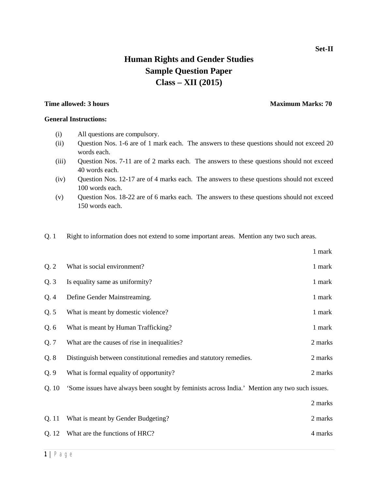## **Set-II**

# **Human Rights and Gender Studies Sample Question Paper Class – XII (2015)**

## **Time allowed: 3 hours Maximum Marks: 70 Maximum Marks: 70**

**General Instructions:**

# (i) All questions are compulsory.

- (ii) Question Nos. 1-6 are of 1 mark each. The answers to these questions should not exceed 20 words each.
- (iii) Question Nos. 7-11 are of 2 marks each. The answers to these questions should not exceed 40 words each.
- (iv) Question Nos. 12-17 are of 4 marks each. The answers to these questions should not exceed 100 words each.
- (v) Question Nos. 18-22 are of 6 marks each. The answers to these questions should not exceed 150 words each.
- Q. 1 Right to information does not extend to some important areas. Mention any two such areas.

|       |                                                                                               | 1 mark  |
|-------|-----------------------------------------------------------------------------------------------|---------|
| Q.2   | What is social environment?                                                                   | 1 mark  |
| Q.3   | Is equality same as uniformity?                                                               | 1 mark  |
| Q.4   | Define Gender Mainstreaming.                                                                  | 1 mark  |
| Q.5   | What is meant by domestic violence?                                                           | 1 mark  |
| Q.6   | What is meant by Human Trafficking?                                                           | 1 mark  |
| Q.7   | What are the causes of rise in inequalities?                                                  | 2 marks |
| Q.8   | Distinguish between constitutional remedies and statutory remedies.                           | 2 marks |
| Q.9   | What is formal equality of opportunity?                                                       | 2 marks |
| Q.10  | 'Some issues have always been sought by feminists across India.' Mention any two such issues. |         |
|       |                                                                                               | 2 marks |
| Q. 11 | What is meant by Gender Budgeting?                                                            | 2 marks |
| Q. 12 | What are the functions of HRC?                                                                | 4 marks |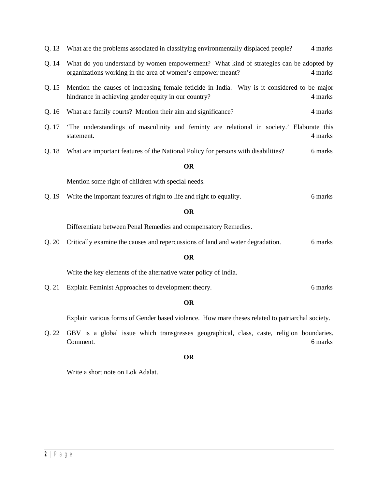|  | Q. 13 What are the problems associated in classifying environmentally displaced people? |  |  |  |  |  | 4 marks |
|--|-----------------------------------------------------------------------------------------|--|--|--|--|--|---------|
|--|-----------------------------------------------------------------------------------------|--|--|--|--|--|---------|

- Q. 14 What do you understand by women empowerment? What kind of strategies can be adopted by organizations working in the area of women's empower meant? 4 marks
- Q. 15 Mention the causes of increasing female feticide in India. Why is it considered to be major hindrance in achieving gender equity in our country? 4 marks
- Q. 16 What are family courts? Mention their aim and significance? 4 marks
- Q. 17 'The understandings of masculinity and feminty are relational in society.' Elaborate this statement. 4 marks
- Q. 18 What are important features of the National Policy for persons with disabilities? 6 marks

### **OR**

Mention some right of children with special needs.

Q. 19 Write the important features of right to life and right to equality. 6 marks

#### **OR**

Differentiate between Penal Remedies and compensatory Remedies.

Q. 20 Critically examine the causes and repercussions of land and water degradation. 6 marks

### **OR**

Write the key elements of the alternative water policy of India.

Q. 21 Explain Feminist Approaches to development theory. 6 marks

### **OR**

Explain various forms of Gender based violence. How mare theses related to patriarchal society.

Q. 22 GBV is a global issue which transgresses geographical, class, caste, religion boundaries. Comment. 6 marks

### **OR**

Write a short note on Lok Adalat.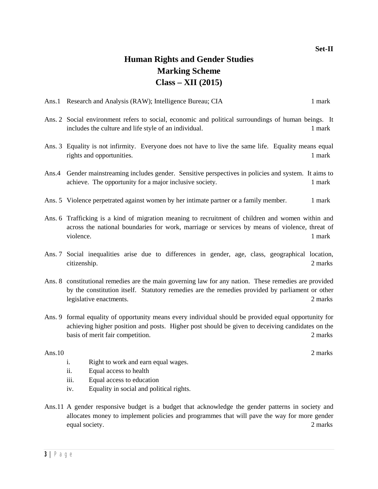# **Set-II**

# **Human Rights and Gender Studies Marking Scheme Class – XII (2015)**

- Ans. 2 Social environment refers to social, economic and political surroundings of human beings. It includes the culture and life style of an individual. 1 mark
- Ans. 3 Equality is not infirmity. Everyone does not have to live the same life. Equality means equal rights and opportunities. 1 mark
- Ans.4 Gender mainstreaming includes gender. Sensitive perspectives in policies and system. It aims to achieve. The opportunity for a major inclusive society. 1 mark
- Ans. 5 Violence perpetrated against women by her intimate partner or a family member. 1 mark
- Ans. 6 Trafficking is a kind of migration meaning to recruitment of children and women within and across the national boundaries for work, marriage or services by means of violence, threat of violence. 1 mark
- Ans. 7 Social inequalities arise due to differences in gender, age, class, geographical location, citizenship. 2 marks
- Ans. 8 constitutional remedies are the main governing law for any nation. These remedies are provided by the constitution itself. Statutory remedies are the remedies provided by parliament or other legislative enactments. 2 marks
- Ans. 9 formal equality of opportunity means every individual should be provided equal opportunity for achieving higher position and posts. Higher post should be given to deceiving candidates on the basis of merit fair competition. 2 marks

### Ans. 10 2 marks

- i. Right to work and earn equal wages.
- ii. Equal access to health
- iii. Equal access to education
- iv. Equality in social and political rights.
- Ans.11 A gender responsive budget is a budget that acknowledge the gender patterns in society and allocates money to implement policies and programmes that will pave the way for more gender equal society. 2 marks 2 marks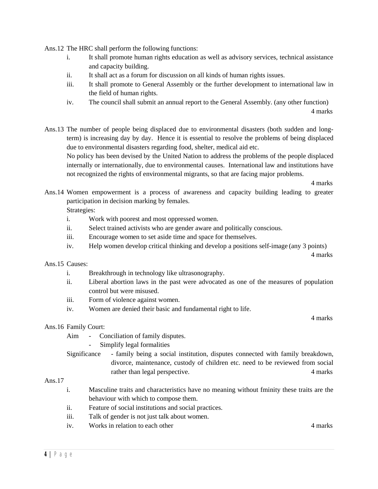Ans.12 The HRC shall perform the following functions:

- i. It shall promote human rights education as well as advisory services, technical assistance and capacity building.
- ii. It shall act as a forum for discussion on all kinds of human rights issues.
- iii. It shall promote to General Assembly or the further development to international law in the field of human rights.
- iv. The council shall submit an annual report to the General Assembly. (any other function) 4 marks

Ans.13 The number of people being displaced due to environmental disasters (both sudden and longterm) is increasing day by day. Hence it is essential to resolve the problems of being displaced due to environmental disasters regarding food, shelter, medical aid etc. No policy has been devised by the United Nation to address the problems of the people displaced

internally or internationally, due to environmental causes. International law and institutions have not recognized the rights of environmental migrants, so that are facing major problems.

4 marks

Ans.14 Women empowerment is a process of awareness and capacity building leading to greater participation in decision marking by females.

Strategies:

- i. Work with poorest and most oppressed women.
- ii. Select trained activists who are gender aware and politically conscious.
- iii. Encourage women to set aside time and space for themselves.
- iv. Help women develop critical thinking and develop a positions self-image (any 3 points)

4 marks

- Ans.15 Causes:
	- i. Breakthrough in technology like ultrasonography.
	- ii. Liberal abortion laws in the past were advocated as one of the measures of population control but were misused.
	- iii. Form of violence against women.
	- iv. Women are denied their basic and fundamental right to life.

4 marks

## Ans.16 Family Court:

Aim - Conciliation of family disputes.

- Simplify legal formalities

Significance - family being a social institution, disputes connected with family breakdown, divorce, maintenance, custody of children etc. need to be reviewed from social rather than legal perspective. 4 marks

# Ans.17

- i. Masculine traits and characteristics have no meaning without fminity these traits are the behaviour with which to compose them.
- ii. Feature of social institutions and social practices.
- iii. Talk of gender is not just talk about women.
- iv. Works in relation to each other 4 marks 4 marks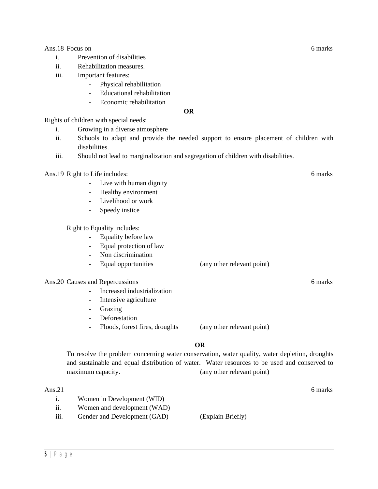Ans. 18 Focus on 6 marks 6 marks 6 marks 6 marks 6 marks 6 marks 6 marks 6 marks 6 marks 6 marks 6 marks 6 marks 6 marks 6 marks 6 marks 6 marks 6 marks 6 marks 6 marks 6 marks 6 marks 6 marks 6 marks 6 marks 6 marks 6 mar

- i. Prevention of disabilities
- ii. Rehabilitation measures.
- iii. Important features:
	- Physical rehabilitation
	- Educational rehabilitation
	- Economic rehabilitation

**OR**

Rights of children with special needs:

- i. Growing in a diverse atmosphere
- ii. Schools to adapt and provide the needed support to ensure placement of children with disabilities.
- iii. Should not lead to marginalization and segregation of children with disabilities.

Ans.19 Right to Life includes: 6 marks

- Live with human dignity
- Healthy environment
- Livelihood or work
- Speedy instice

Right to Equality includes:

- Equality before law
- Equal protection of law
- Non discrimination
- Equal opportunities (any other relevant point)

# Ans. 20 Causes and Repercussions 6 marks 6 marks 6 marks 6 marks 6 marks 6 marks 6 marks 6 marks 6 marks 6 marks 6 marks 6 marks 6 marks 6 marks 6 marks 6 marks 6 marks 6 marks 6 marks 6 marks 6 marks 6 marks 6 marks 6 mar

- Increased industrialization
- Intensive agriculture
- Grazing
- Deforestation
- Floods, forest fires, droughts (any other relevant point)

## **OR**

To resolve the problem concerning water conservation, water quality, water depletion, droughts and sustainable and equal distribution of water. Water resources to be used and conserved to maximum capacity. (any other relevant point)

- i. Women in Development (WID)
- ii. Women and development (WAD)
- iii. Gender and Development (GAD) (Explain Briefly)

Ans. 21 6 marks